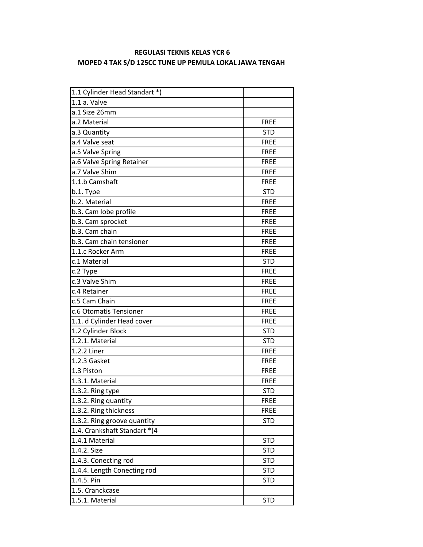## **REGULASI TEKNIS KELAS YCR 6 MOPED 4 TAK S/D 125CC TUNE UP PEMULA LOKAL JAWA TENGAH**

| 1.1 Cylinder Head Standart *) |             |
|-------------------------------|-------------|
| 1.1 a. Valve                  |             |
| a.1 Size 26mm                 |             |
| a.2 Material                  | <b>FREE</b> |
| a.3 Quantity                  | <b>STD</b>  |
| a.4 Valve seat                | <b>FREE</b> |
| a.5 Valve Spring              | <b>FREE</b> |
| a.6 Valve Spring Retainer     | <b>FREE</b> |
| a.7 Valve Shim                | <b>FREE</b> |
| 1.1.b Camshaft                | <b>FREE</b> |
| b.1. Type                     | <b>STD</b>  |
| b.2. Material                 | <b>FREE</b> |
| b.3. Cam lobe profile         | <b>FREE</b> |
| b.3. Cam sprocket             | <b>FREE</b> |
| b.3. Cam chain                | <b>FREE</b> |
| b.3. Cam chain tensioner      | <b>FREE</b> |
| 1.1.c Rocker Arm              | <b>FREE</b> |
| c.1 Material                  | <b>STD</b>  |
| c.2 Type                      | <b>FREE</b> |
| c.3 Valve Shim                | <b>FREE</b> |
| c.4 Retainer                  | <b>FREE</b> |
| c.5 Cam Chain                 | <b>FREE</b> |
| c.6 Otomatis Tensioner        | <b>FREE</b> |
| 1.1. d Cylinder Head cover    | <b>FREE</b> |
| 1.2 Cylinder Block            | <b>STD</b>  |
| 1.2.1. Material               | <b>STD</b>  |
| 1.2.2 Liner                   | <b>FREE</b> |
| 1.2.3 Gasket                  | <b>FREE</b> |
| 1.3 Piston                    | <b>FREE</b> |
| 1.3.1. Material               | <b>FREE</b> |
| 1.3.2. Ring type              | <b>STD</b>  |
| 1.3.2. Ring quantity          | <b>FREE</b> |
| 1.3.2. Ring thickness         | <b>FREE</b> |
| 1.3.2. Ring groove quantity   | <b>STD</b>  |
| 1.4. Crankshaft Standart *)4  |             |
| 1.4.1 Material                | <b>STD</b>  |
| 1.4.2. Size                   | <b>STD</b>  |
| 1.4.3. Conecting rod          | <b>STD</b>  |
| 1.4.4. Length Conecting rod   | <b>STD</b>  |
| 1.4.5. Pin                    | <b>STD</b>  |
| 1.5. Cranckcase               |             |
| 1.5.1. Material               | <b>STD</b>  |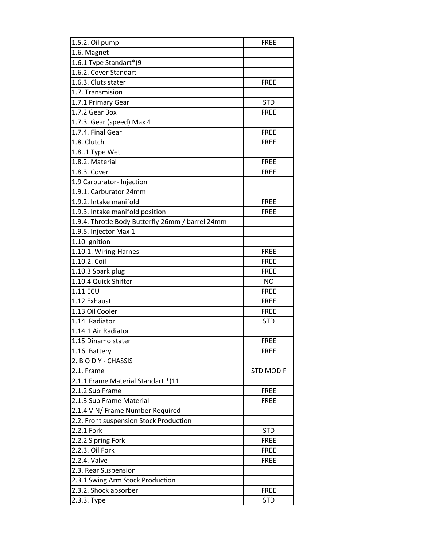| 1.5.2. Oil pump                                  | <b>FREE</b>      |
|--------------------------------------------------|------------------|
| 1.6. Magnet                                      |                  |
| 1.6.1 Type Standart*)9                           |                  |
| 1.6.2. Cover Standart                            |                  |
| 1.6.3. Cluts stater                              | <b>FREE</b>      |
| 1.7. Transmision                                 |                  |
| 1.7.1 Primary Gear                               | <b>STD</b>       |
| 1.7.2 Gear Box                                   | <b>FREE</b>      |
| 1.7.3. Gear (speed) Max 4                        |                  |
| 1.7.4. Final Gear                                | <b>FREE</b>      |
| 1.8. Clutch                                      | <b>FREE</b>      |
| 1.8.1 Type Wet                                   |                  |
| 1.8.2. Material                                  | <b>FREE</b>      |
| 1.8.3. Cover                                     | <b>FREE</b>      |
| 1.9 Carburator- Injection                        |                  |
| 1.9.1. Carburator 24mm                           |                  |
| 1.9.2. Intake manifold                           | <b>FREE</b>      |
| 1.9.3. Intake manifold position                  | <b>FREE</b>      |
| 1.9.4. Throtle Body Butterfly 26mm / barrel 24mm |                  |
| 1.9.5. Injector Max 1                            |                  |
| 1.10 Ignition                                    |                  |
| 1.10.1. Wiring-Harnes                            | <b>FREE</b>      |
| 1.10.2. Coil                                     | <b>FREE</b>      |
| 1.10.3 Spark plug                                | <b>FREE</b>      |
| 1.10.4 Quick Shifter                             | NO.              |
| 1.11 ECU                                         | <b>FREE</b>      |
| 1.12 Exhaust                                     | <b>FREE</b>      |
| 1.13 Oil Cooler                                  | <b>FREE</b>      |
| 1.14. Radiator                                   | <b>STD</b>       |
| 1.14.1 Air Radiator                              |                  |
| 1.15 Dinamo stater                               | <b>FREE</b>      |
| 1.16. Battery                                    | <b>FREE</b>      |
| 2. B O D Y - CHASSIS                             |                  |
| 2.1. Frame                                       | <b>STD MODIF</b> |
| 2.1.1 Frame Material Standart *)11               |                  |
| 2.1.2 Sub Frame                                  | <b>FREE</b>      |
| 2.1.3 Sub Frame Material                         | <b>FREE</b>      |
| 2.1.4 VIN/ Frame Number Required                 |                  |
| 2.2. Front suspension Stock Production           |                  |
| 2.2.1 Fork                                       | <b>STD</b>       |
| 2.2.2 S pring Fork                               | <b>FREE</b>      |
| 2.2.3. Oil Fork                                  | <b>FREE</b>      |
| 2.2.4. Valve                                     | <b>FREE</b>      |
| 2.3. Rear Suspension                             |                  |
| 2.3.1 Swing Arm Stock Production                 |                  |
| 2.3.2. Shock absorber                            | <b>FREE</b>      |
| 2.3.3. Туре                                      | <b>STD</b>       |